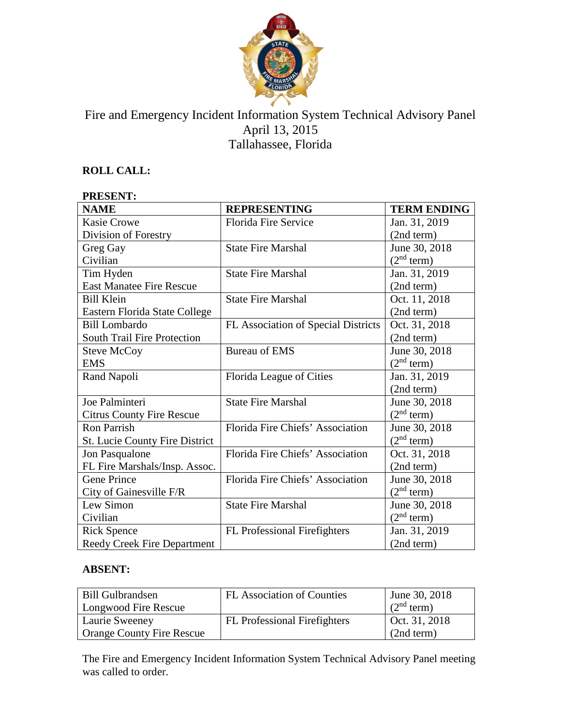

# Fire and Emergency Incident Information System Technical Advisory Panel April 13, 2015 Tallahassee, Florida

## **ROLL CALL:**

#### **PRESENT: NAME REPRESENTING TERM ENDING** Kasie Crowe Division of Forestry Florida Fire Service Jan. 31, 2019 (2nd term) Greg Gay Civilian State Fire Marshal June 30, 2018  $(2<sup>nd</sup> term)$ Tim Hyden East Manatee Fire Rescue State Fire Marshal Jan. 31, 2019 (2nd term) Bill Klein Eastern Florida State College State Fire Marshal Oct. 11, 2018 (2nd term) Bill Lombardo South Trail Fire Protection FL Association of Special Districts | Oct. 31, 2018 (2nd term) Steve McCoy EMS Bureau of EMS <br> June 30, 2018  $(2<sup>nd</sup> term)$ Rand Napoli Florida League of Cities Jan. 31, 2019 (2nd term) Joe Palminteri Citrus County Fire Rescue State Fire Marshal June 30, 2018  $(2<sup>nd</sup> term)$ Ron Parrish St. Lucie County Fire District Florida Fire Chiefs' Association | June 30, 2018  $(2<sup>nd</sup> term)$ Jon Pasqualone FL Fire Marshals/Insp. Assoc. Florida Fire Chiefs' Association | Oct. 31, 2018 (2nd term) Gene Prince City of Gainesville F/R Florida Fire Chiefs' Association June 30, 2018  $(2<sup>nd</sup> term)$ Lew Simon Civilian State Fire Marshal June 30, 2018  $(2<sup>nd</sup> term)$ Rick Spence Reedy Creek Fire Department FL Professional Firefighters Jan. 31, 2019 (2nd term)

### **ABSENT:**

| <b>Bill Gulbrandsen</b><br>Longwood Fire Rescue          | <b>FL</b> Association of Counties   | June 30, 2018<br>(2 <sup>nd</sup> term) |
|----------------------------------------------------------|-------------------------------------|-----------------------------------------|
| Laurie Sweeney<br><sup>1</sup> Orange County Fire Rescue | <b>FL</b> Professional Firefighters | Oct. $31, 2018$<br>(2nd term)           |

The Fire and Emergency Incident Information System Technical Advisory Panel meeting was called to order.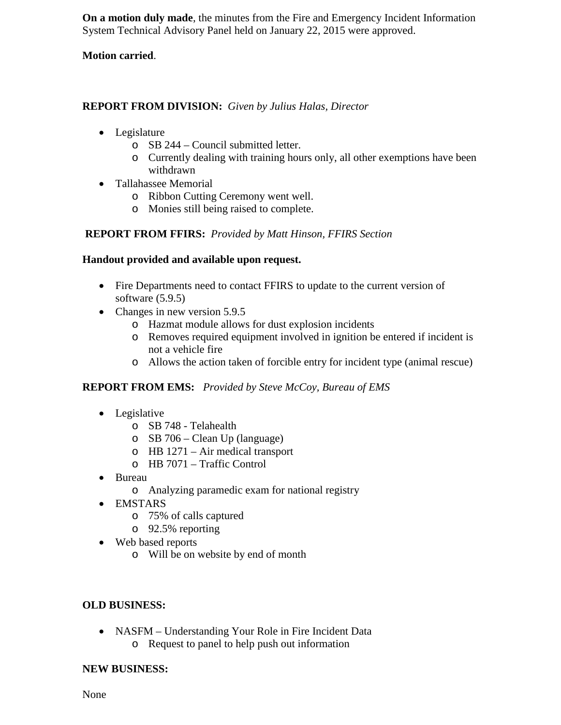**On a motion duly made**, the minutes from the Fire and Emergency Incident Information System Technical Advisory Panel held on January 22, 2015 were approved.

### **Motion carried**.

#### **REPORT FROM DIVISION:** *Given by Julius Halas, Director*

- Legislature
	- o SB 244 Council submitted letter.
	- o Currently dealing with training hours only, all other exemptions have been withdrawn
- Tallahassee Memorial
	- o Ribbon Cutting Ceremony went well.
	- o Monies still being raised to complete.

### **REPORT FROM FFIRS:** *Provided by Matt Hinson, FFIRS Section*

#### **Handout provided and available upon request.**

- Fire Departments need to contact FFIRS to update to the current version of software (5.9.5)
- Changes in new version 5.9.5
	- o Hazmat module allows for dust explosion incidents
	- o Removes required equipment involved in ignition be entered if incident is not a vehicle fire
	- o Allows the action taken of forcible entry for incident type (animal rescue)

### **REPORT FROM EMS:** *Provided by Steve McCoy, Bureau of EMS*

- Legislative
	- o SB 748 Telahealth
	- o SB 706 Clean Up (language)
	- o HB 1271 Air medical transport
	- o HB 7071 Traffic Control
- Bureau
	- o Analyzing paramedic exam for national registry
- EMSTARS
	- o 75% of calls captured
	- o 92.5% reporting
- Web based reports
	- o Will be on website by end of month

### **OLD BUSINESS:**

• NASFM – Understanding Your Role in Fire Incident Data o Request to panel to help push out information

### **NEW BUSINESS:**

None